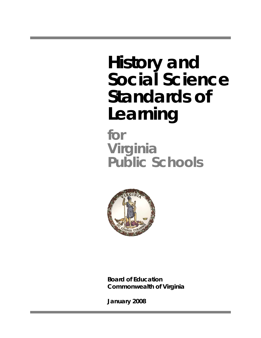# **History and Social Science Standards of Learning**

**for Virginia Public Schools**



**Board of Education Commonwealth of Virginia** 

**January 2008**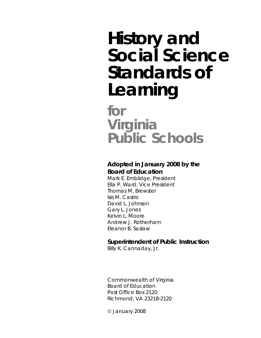# **History and Social Science Standards of Learning**

**for Virginia Public Schools**

## **Adopted in January 2008 by the Board of Education**

Mark E. Emblidge, President Ella P. Ward, Vice President Thomas M. Brewster Isis M. Castro David L. Johnson Gary L. Jones Kelvin L. Moore Andrew J. Rotherham Eleanor B. Saslaw

## **Superintendent of Public Instruction**

Billy K. Cannaday, Jr.

Commonwealth of Virginia Board of Education Post Office Box 2120 Richmond, VA 23218-2120

© January 2008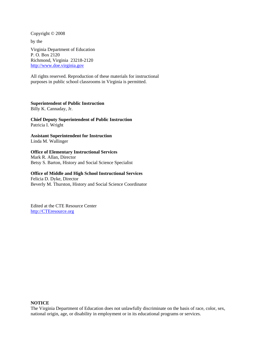Copyright © 2008 by the Virginia Department of Education P. O. Box 2120 Richmond, Virginia 23218-2120 http://www.doe.virginia.gov

All rights reserved. Reproduction of these materials for instructional purposes in public school classrooms in Virginia is permitted.

#### **Superintendent of Public Instruction**

Billy K. Cannaday, Jr.

**Chief Deputy Superintendent of Public Instruction**  Patricia I. Wright

**Assistant Superintendent for Instruction**  Linda M. Wallinger

#### **Office of Elementary Instructional Services**

Mark R. Allan, Director Betsy S. Barton, History and Social Science Specialist

#### **Office of Middle and High School Instructional Services**

Felicia D. Dyke, Director Beverly M. Thurston, History and Social Science Coordinator

Edited at the CTE Resource Center http://CTEresource.org

#### **NOTICE**

The Virginia Department of Education does not unlawfully discriminate on the basis of race, color, sex, national origin, age, or disability in employment or in its educational programs or services.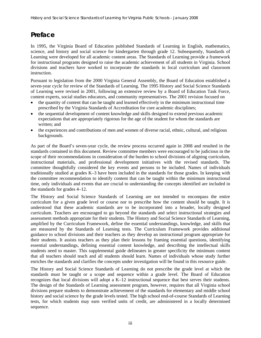# **Preface**

In 1995, the Virginia Board of Education published Standards of Learning in English, mathematics, science, and history and social science for kindergarten through grade 12. Subsequently, Standards of Learning were developed for all academic content areas. The Standards of Learning provide a framework for instructional programs designed to raise the academic achievement of all students in Virginia. School divisions and teachers have worked to incorporate the standards in local curriculum and classroom instruction.

Pursuant to legislation from the 2000 Virginia General Assembly, the Board of Education established a seven-year cycle for review of the Standards of Learning. The 1995 History and Social Science Standards of Learning were revised in 2001, following an extensive review by a Board of Education Task Force, content experts, social studies educators, and community representatives. The 2001 revision focused on

- the quantity of content that can be taught and learned effectively in the minimum instructional time prescribed by the Virginia Standards of Accreditation for core academic disciplines;
- the sequential development of content knowledge and skills designed to extend previous academic expectations that are appropriately rigorous for the age of the student for whom the standards are written; and
- the experiences and contributions of men and women of diverse racial, ethnic, cultural, and religious backgrounds.

As part of the Board's seven-year cycle, the review process occurred again in 2008 and resulted in the standards contained in this document. Review committee members were encouraged to be judicious in the scope of their recommendations in consideration of the burden to school divisions of aligning curriculum, instructional materials, and professional development initiatives with the revised standards. The committee thoughtfully considered the key events and persons to be included. Names of individuals traditionally studied at grades K–3 have been included in the standards for those grades. In keeping with the committee recommendation to identify content that can be taught within the minimum instructional time, only individuals and events that are crucial to understanding the concepts identified are included in the standards for grades 4–12.

The History and Social Science Standards of Learning are not intended to encompass the entire curriculum for a given grade level or course nor to prescribe how the content should be taught. It is understood that these academic standards are to be incorporated into a broader, locally designed curriculum. Teachers are encouraged to go beyond the standards and select instructional strategies and assessment methods appropriate for their students. The History and Social Science Standards of Learning, amplified by the Curriculum Framework, define the essential understandings, knowledge, and skills that are measured by the Standards of Learning tests. The Curriculum Framework provides additional guidance to school divisions and their teachers as they develop an instructional program appropriate for their students. It assists teachers as they plan their lessons by framing essential questions, identifying essential understandings, defining essential content knowledge, and describing the intellectual skills students need to master. This supplemental guide delineates in greater specificity the minimum content that all teachers should teach and all students should learn. Names of individuals whose study further enriches the standards and clarifies the concepts under investigation will be found in this resource guide.

The History and Social Science Standards of Learning do not prescribe the grade level at which the standards must be taught or a scope and sequence within a grade level. The Board of Education recognizes that local divisions will adopt a K–12 instructional sequence that best serves their students. The design of the Standards of Learning assessment program, however, requires that all Virginia school divisions prepare students to demonstrate achievement of the standards for elementary and middle school history and social science by the grade levels tested. The high school end-of-course Standards of Learning tests, for which students may earn verified units of credit, are administered in a locally determined sequence.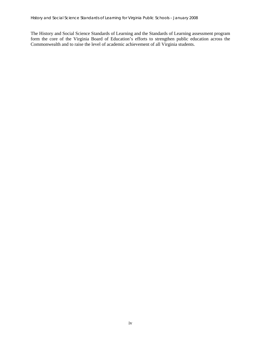The History and Social Science Standards of Learning and the Standards of Learning assessment program form the core of the Virginia Board of Education's efforts to strengthen public education across the Commonwealth and to raise the level of academic achievement of all Virginia students.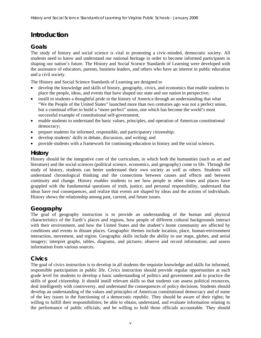# **Introduction**

## **Goals**

The study of history and social science is vital in promoting a civic-minded, democratic society. All students need to know and understand our national heritage in order to become informed participants in shaping our nation's future. The History and Social Science Standards of Learning were developed with the assistance of educators, parents, business leaders, and others who have an interest in public education and a civil society.

The History and Social Science Standards of Learning are designed to

- develop the knowledge and skills of history, geography, civics, and economics that enable students to place the people, ideas, and events that have shaped our state and our nation in perspective;
- instill in students a thoughtful pride in the history of America through an understanding that what "We the People of the United States" launched more than two centuries ago was not a perfect union, but a continual effort to build a "more perfect" union, one which has become the world's most successful example of constitutional self-government;
- enable students to understand the basic values, principles, and operation of American constitutional democracy;
- prepare students for informed, responsible, and participatory citizenship;
- develop students' skills in debate, discussion, and writing; and
- provide students with a framework for continuing education in history and the social sciences.

#### **History**

History should be the integrative core of the curriculum, in which both the humanities (such as art and literature) and the social sciences (political science, economics, and geography) come to life. Through the study of history, students can better understand their own society as well as others. Students will understand chronological thinking and the connections between causes and effects and between continuity and change. History enables students to see how people in other times and places have grappled with the fundamental questions of truth, justice, and personal responsibility, understand that ideas have real consequences, and realize that events are shaped by ideas and the actions of individuals. History shows the relationship among past, current, and future issues.

#### **Geography**

The goal of geography instruction is to provide an understanding of the human and physical characteristics of the Earth's places and regions, how people of different cultural backgrounds interact with their environment, and how the United States and the student's home community are affected by conditions and events in distant places. Geographic themes include location, place, human-environment interaction, movement, and region. Geographic skills include the ability to use maps, globes, and aerial imagery; interpret graphs, tables, diagrams, and pictures; observe and record information; and assess information from various sources.

#### **Civics**

The goal of civics instruction is to develop in all students the requisite knowledge and skills for informed, responsible participation in public life. Civics instruction should provide regular opportunities at each grade level for students to develop a basic understanding of politics and government and to practice the skills of good citizenship. It should instill relevant skills so that students can assess political resources, deal intelligently with controversy, and understand the consequences of policy decisions. Students should develop an understanding of the values and principles of American constitutional democracy and of some of the key issues in the functioning of a democratic republic. They should be aware of their rights; be willing to fulfill their responsibilities; be able to obtain, understand, and evaluate information relating to the performance of public officials; and be willing to hold those officials accountable. They should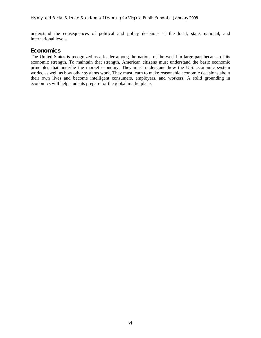understand the consequences of political and policy decisions at the local, state, national, and international levels.

#### **Economics**

The United States is recognized as a leader among the nations of the world in large part because of its economic strength. To maintain that strength, American citizens must understand the basic economic principles that underlie the market economy. They must understand how the U.S. economic system works, as well as how other systems work. They must learn to make reasonable economic decisions about their own lives and become intelligent consumers, employers, and workers. A solid grounding in economics will help students prepare for the global marketplace.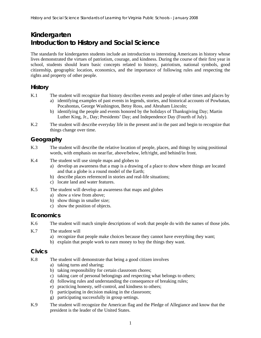# **Kindergarten Introduction to History and Social Science**

The standards for kindergarten students include an introduction to interesting Americans in history whose lives demonstrated the virtues of patriotism, courage, and kindness. During the course of their first year in school, students should learn basic concepts related to history, patriotism, national symbols, good citizenship, geographic location, economics, and the importance of following rules and respecting the rights and property of other people.

## **History**

- K.1 The student will recognize that history describes events and people of other times and places by a) identifying examples of past events in legends, stories, and historical accounts of Powhatan,
	- Pocahontas, George Washington, Betsy Ross, and Abraham Lincoln; b) identifying the people and events honored by the holidays of Thanksgiving Day; Martin
	- Luther King, Jr., Day; Presidents' Day; and Independence Day (Fourth of July).
- K.2 The student will describe everyday life in the present and in the past and begin to recognize that things change over time.

## **Geography**

- K.3 The student will describe the relative location of people, places, and things by using positional words, with emphasis on near/far, above/below, left/right, and behind/in front.
- K.4 The student will use simple maps and globes to
	- a) develop an awareness that a map is a drawing of a place to show where things are located and that a globe is a round model of the Earth;
	- b) describe places referenced in stories and real-life situations;
	- c) locate land and water features.
- K.5 The student will develop an awareness that maps and globes
	- a) show a view from above;
	- b) show things in smaller size;
	- c) show the position of objects.

#### **Economics**

K.6 The student will match simple descriptions of work that people do with the names of those jobs.

- K.7 The student will
	- a) recognize that people make choices because they cannot have everything they want;
	- b) explain that people work to earn money to buy the things they want.

#### **Civics**

- K.8 The student will demonstrate that being a good citizen involves
	- a) taking turns and sharing;
	- b) taking responsibility for certain classroom chores;
	- c) taking care of personal belongings and respecting what belongs to others;
	- d) following rules and understanding the consequence of breaking rules;
	- e) practicing honesty, self-control, and kindness to others;
	- f) participating in decision making in the classroom;
	- g) participating successfully in group settings.
- K.9 The student will recognize the American flag and the Pledge of Allegiance and know that the president is the leader of the United States.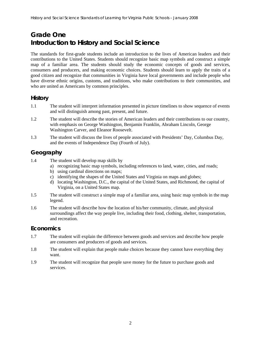# **Grade One Introduction to History and Social Science**

The standards for first-grade students include an introduction to the lives of American leaders and their contributions to the United States. Students should recognize basic map symbols and construct a simple map of a familiar area. The students should study the economic concepts of goods and services, consumers and producers, and making economic choices. Students should learn to apply the traits of a good citizen and recognize that communities in Virginia have local governments and include people who have diverse ethnic origins, customs, and traditions, who make contributions to their communities, and who are united as Americans by common principles.

## **History**

- 1.1 The student will interpret information presented in picture timelines to show sequence of events and will distinguish among past, present, and future.
- 1.2 The student will describe the stories of American leaders and their contributions to our country, with emphasis on George Washington, Benjamin Franklin, Abraham Lincoln, George Washington Carver, and Eleanor Roosevelt.
- 1.3 The student will discuss the lives of people associated with Presidents' Day, Columbus Day, and the events of Independence Day (Fourth of July).

## **Geography**

- 1.4 The student will develop map skills by
	- a) recognizing basic map symbols, including references to land, water, cities, and roads;
	- b) using cardinal directions on maps;
	- c) identifying the shapes of the United States and Virginia on maps and globes;
	- d) locating Washington, D.C., the capital of the United States, and Richmond, the capital of Virginia, on a United States map.
- 1.5 The student will construct a simple map of a familiar area, using basic map symbols in the map legend.
- 1.6 The student will describe how the location of his/her community, climate, and physical surroundings affect the way people live, including their food, clothing, shelter, transportation, and recreation.

## **Economics**

- 1.7 The student will explain the difference between goods and services and describe how people are consumers and producers of goods and services.
- 1.8 The student will explain that people make choices because they cannot have everything they want.
- 1.9 The student will recognize that people save money for the future to purchase goods and services.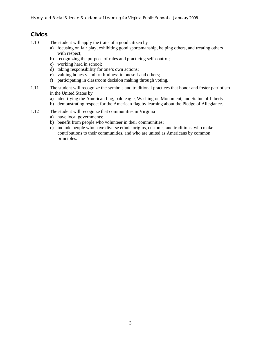## **Civics**

- 1.10 The student will apply the traits of a good citizen by
	- a) focusing on fair play, exhibiting good sportsmanship, helping others, and treating others with respect;
	- b) recognizing the purpose of rules and practicing self-control;
	- c) working hard in school;
	- d) taking responsibility for one's own actions;
	- e) valuing honesty and truthfulness in oneself and others;
	- f) participating in classroom decision making through voting**.**
- 1.11 The student will recognize the symbols and traditional practices that honor and foster patriotism in the United States by
	- a) identifying the American flag, bald eagle, Washington Monument, and Statue of Liberty;
	- b) demonstrating respect for the American flag by learning about the Pledge of Allegiance.
- 1.12 The student will recognize that communities in Virginia
	- a) have local governments;
	- b) benefit from people who volunteer in their communities;
	- c) include people who have diverse ethnic origins, customs, and traditions, who make contributions to their communities, and who are united as Americans by common principles.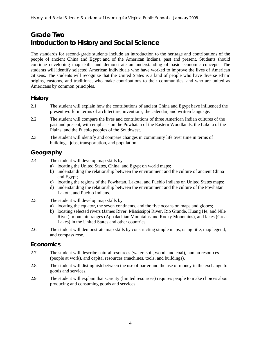# **Grade Two Introduction to History and Social Science**

The standards for second-grade students include an introduction to the heritage and contributions of the people of ancient China and Egypt and of the American Indians, past and present. Students should continue developing map skills and demonstrate an understanding of basic economic concepts. The students will identify selected American individuals who have worked to improve the lives of American citizens. The students will recognize that the United States is a land of people who have diverse ethnic origins, customs, and traditions, who make contributions to their communities, and who are united as Americans by common principles.

## **History**

- 2.1 The student will explain how the contributions of ancient China and Egypt have influenced the present world in terms of architecture, inventions, the calendar, and written language.
- 2.2 The student will compare the lives and contributions of three American Indian cultures of the past and present, with emphasis on the Powhatan of the Eastern Woodlands, the Lakota of the Plains, and the Pueblo peoples of the Southwest.
- 2.3 The student will identify and compare changes in community life over time in terms of buildings, jobs, transportation, and population.

## **Geography**

- 2.4 The student will develop map skills by
	- a) locating the United States, China, and Egypt on world maps;
	- b) understanding the relationship between the environment and the culture of ancient China and Egypt;
	- c) locating the regions of the Powhatan, Lakota, and Pueblo Indians on United States maps;
	- d) understanding the relationship between the environment and the culture of the Powhatan, Lakota, and Pueblo Indians.
- 2.5 The student will develop map skills by
	- a) locating the equator, the seven continents, and the five oceans on maps and globes;
	- b) locating selected rivers (James River, Mississippi River, Rio Grande, Huang He, and Nile River), mountain ranges (Appalachian Mountains and Rocky Mountains), and lakes (Great Lakes) in the United States and other countries.
- 2.6 The student will demonstrate map skills by constructing simple maps, using title, map legend, and compass rose.

#### **Economics**

- 2.7 The student will describe natural resources (water, soil, wood, and coal), human resources (people at work), and capital resources (machines, tools, and buildings).
- 2.8 The student will distinguish between the use of barter and the use of money in the exchange for goods and services.
- 2.9 The student will explain that scarcity (limited resources) requires people to make choices about producing and consuming goods and services.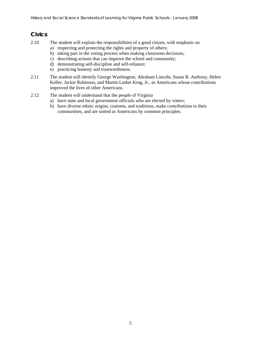## **Civics**

- 2.10 The student will explain the responsibilities of a good citizen, with emphasis on
	- a) respecting and protecting the rights and property of others;
	- b) taking part in the voting process when making classroom decisions;
	- c) describing actions that can improve the school and community;
	- d) demonstrating self-discipline and self-reliance;
	- e) practicing honesty and trustworthiness.
- 2.11 The student will identify George Washington, Abraham Lincoln, Susan B. Anthony, Helen Keller, Jackie Robinson, and Martin Luther King, Jr., as Americans whose contributions improved the lives of other Americans.
- 2.12 The student will understand that the people of Virginia
	- a) have state and local government officials who are elected by voters;
	- b) have diverse ethnic origins, customs, and traditions, make contributions to their communities, and are united as Americans by common principles.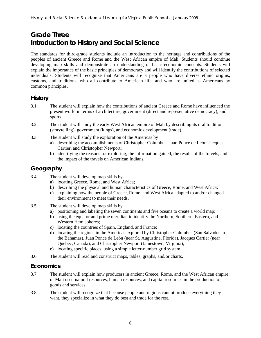# **Grade Three Introduction to History and Social Science**

The standards for third-grade students include an introduction to the heritage and contributions of the peoples of ancient Greece and Rome and the West African empire of Mali. Students should continue developing map skills and demonstrate an understanding of basic economic concepts. Students will explain the importance of the basic principles of democracy and will identify the contributions of selected individuals. Students will recognize that Americans are a people who have diverse ethnic origins, customs, and traditions, who all contribute to American life, and who are united as Americans by common principles.

## **History**

- 3.1 The student will explain how the contributions of ancient Greece and Rome have influenced the present world in terms of architecture, government (direct and representative democracy), and sports.
- 3.2 The student will study the early West African empire of Mali by describing its oral tradition (storytelling), government (kings), and economic development (trade).
- 3.3 The student will study the exploration of the Americas by
	- a) describing the accomplishments of Christopher Columbus, Juan Ponce de León, Jacques Cartier, and Christopher Newport;
	- b) identifying the reasons for exploring, the information gained, the results of the travels, and the impact of the travels on American Indians**.**

## **Geography**

- 3.4 The student will develop map skills by
	- a) locating Greece, Rome, and West Africa;
	- b) describing the physical and human characteristics of Greece, Rome, and West Africa;
	- c) explaining how the people of Greece, Rome, and West Africa adapted to and/or changed their environment to meet their needs.
- 3.5 The student will develop map skills by
	- a) positioning and labeling the seven continents and five oceans to create a world map;
	- b) using the equator and prime meridian to identify the Northern, Southern, Eastern, and Western Hemispheres;
	- c) locating the countries of Spain, England, and France;
	- d) locating the regions in the Americas explored by Christopher Columbus (San Salvador in the Bahamas), Juan Ponce de León (near St. Augustine, Florida), Jacques Cartier (near Quebec, Canada), and Christopher Newport (Jamestown, Virginia);
	- e) locating specific places, using a simple letter-number grid system.
- 3.6 The student will read and construct maps, tables, graphs, and/or charts.

#### **Economics**

- 3.7 The student will explain how producers in ancient Greece, Rome, and the West African empire of Mali used natural resources, human resources, and capital resources in the production of goods and services.
- 3.8 The student will recognize that because people and regions cannot produce everything they want, they specialize in what they do best and trade for the rest.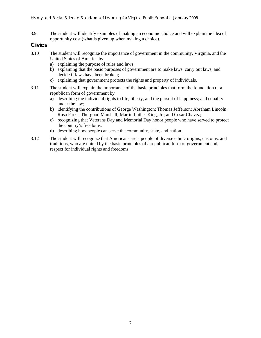3.9 The student will identify examples of making an economic choice and will explain the idea of opportunity cost (what is given up when making a choice).

#### **Civics**

- 3.10 The student will recognize the importance of government in the community, Virginia, and the United States of America by
	- a) explaining the purpose of rules and laws;
	- b) explaining that the basic purposes of government are to make laws, carry out laws, and decide if laws have been broken;
	- c) explaining that government protects the rights and property of individuals.
- 3.11 The student will explain the importance of the basic principles that form the foundation of a republican form of government by
	- a) describing the individual rights to life, liberty, and the pursuit of happiness; and equality under the law;
	- b) identifying the contributions of George Washington; Thomas Jefferson; Abraham Lincoln; Rosa Parks; Thurgood Marshall; Martin Luther King, Jr.; and Cesar Chavez;
	- c) recognizing that Veterans Day and Memorial Day honor people who have served to protect the country's freedoms,
	- d) describing how people can serve the community, state, and nation.
- 3.12 The student will recognize that Americans are a people of diverse ethnic origins, customs, and traditions, who are united by the basic principles of a republican form of government and respect for individual rights and freedoms.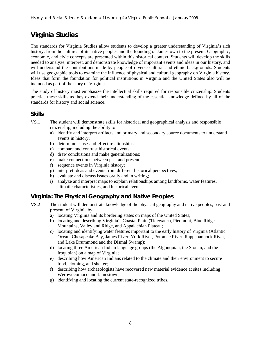# **Virginia Studies**

The standards for Virginia Studies allow students to develop a greater understanding of Virginia's rich history, from the cultures of its native peoples and the founding of Jamestown to the present. Geographic, economic, and civic concepts are presented within this historical context. Students will develop the skills needed to analyze, interpret, and demonstrate knowledge of important events and ideas in our history, and will understand the contributions made by people of diverse cultural and ethnic backgrounds. Students will use geographic tools to examine the influence of physical and cultural geography on Virginia history. Ideas that form the foundation for political institutions in Virginia and the United States also will be included as part of the story of Virginia.

The study of history must emphasize the intellectual skills required for responsible citizenship. Students practice these skills as they extend their understanding of the essential knowledge defined by all of the standards for history and social science.

#### **Skills**

- VS.1 The student will demonstrate skills for historical and geographical analysis and responsible citizenship, including the ability to
	- a) identify and interpret artifacts and primary and secondary source documents to understand events in history;
	- b) determine cause-and-effect relationships;
	- c) compare and contrast historical events;
	- d) draw conclusions and make generalizations;
	- e) make connections between past and present;
	- f) sequence events in Virginia history;
	- g) interpret ideas and events from different historical perspectives;
	- h) evaluate and discuss issues orally and in writing;
	- i) analyze and interpret maps to explain relationships among landforms, water features, climatic characteristics, and historical events.

## **Virginia: The Physical Geography and Native Peoples**

- VS.2 The student will demonstrate knowledge of the physical geography and native peoples, past and present, of Virginia by
	- a) locating Virginia and its bordering states on maps of the United States;
	- b) locating and describing Virginia's Coastal Plain (Tidewater), Piedmont, Blue Ridge Mountains, Valley and Ridge, and Appalachian Plateau;
	- c) locating and identifying water features important to the early history of Virginia (Atlantic Ocean, Chesapeake Bay, James River, York River, Potomac River, Rappahannock River, and Lake Drummond and the Dismal Swamp);
	- d) locating three American Indian language groups (the Algonquian, the Siouan, and the Iroquoian) on a map of Virginia;
	- e) describing how American Indians related to the climate and their environment to secure food, clothing, and shelter;
	- f) describing how archaeologists have recovered new material evidence at sites including Werowocomoco and Jamestown;
	- g) identifying and locating the current state-recognized tribes.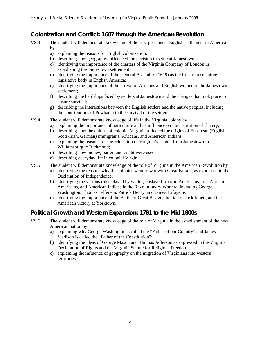## **Colonization and Conflict: 1607 through the American Revolution**

- VS.3 The student will demonstrate knowledge of the first permanent English settlement in America by
	- a) explaining the reasons for English colonization;
	- b) describing how geography influenced the decision to settle at Jamestown;
	- c) identifying the importance of the charters of the Virginia Company of London in establishing the Jamestown settlement;
	- d) identifying the importance of the General Assembly (1619) as the first representative legislative body in English America;
	- e) identifying the importance of the arrival of Africans and English women to the Jamestown settlement;
	- f) describing the hardships faced by settlers at Jamestown and the changes that took place to ensure survival;
	- g) describing the interactions between the English settlers and the native peoples, including the contributions of Powhatan to the survival of the settlers.
- VS.4 The student will demonstrate knowledge of life in the Virginia colony by
	- a) explaining the importance of agriculture and its influence on the institution of slavery;
	- b) describing how the culture of colonial Virginia reflected the origins of European (English, Scots-Irish, German) immigrants, Africans, and American Indians;
	- c) explaining the reasons for the relocation of Virginia's capital from Jamestown to Williamsburg to Richmond;
	- d) describing how money, barter, and credit were used;
	- e) describing everyday life in colonial Virginia.
- VS.5 The student will demonstrate knowledge of the role of Virginia in the American Revolution by
	- a) identifying the reasons why the colonies went to war with Great Britain, as expressed in the Declaration of Independence;
	- b) identifying the various roles played by whites, enslaved African Americans, free African Americans, and American Indians in the Revolutionary War era, including George Washington, Thomas Jefferson, Patrick Henry, and James Lafayette;
	- c) identifying the importance of the Battle of Great Bridge, the ride of Jack Jouett, and the American victory at Yorktown.

## **Political Growth and Western Expansion: 1781 to the Mid 1800s**

- VS.6 The student will demonstrate knowledge of the role of Virginia in the establishment of the new American nation by
	- a) explaining why George Washington is called the "Father of our Country" and James Madison is called the "Father of the Constitution";
	- b) identifying the ideas of George Mason and Thomas Jefferson as expressed in the Virginia Declaration of Rights and the Virginia Statute for Religious Freedom;
	- c) explaining the influence of geography on the migration of Virginians into western territories.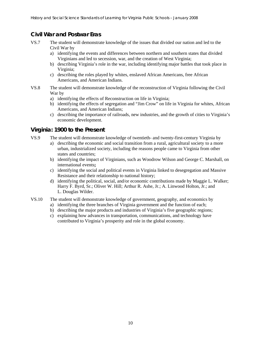## **Civil War and Postwar Eras**

- VS.7 The student will demonstrate knowledge of the issues that divided our nation and led to the Civil War by
	- a) identifying the events and differences between northern and southern states that divided Virginians and led to secession, war, and the creation of West Virginia;
	- b) describing Virginia's role in the war, including identifying major battles that took place in Virginia;
	- c) describing the roles played by whites, enslaved African Americans, free African Americans, and American Indians.
- VS.8 The student will demonstrate knowledge of the reconstruction of Virginia following the Civil War by
	- a) identifying the effects of Reconstruction on life in Virginia;
	- b) identifying the effects of segregation and "Jim Crow" on life in Virginia for whites, African Americans, and American Indians;
	- c) describing the importance of railroads, new industries, and the growth of cities to Virginia's economic development.

#### **Virginia: 1900 to the Present**

- VS.9 The student will demonstrate knowledge of twentieth- and twenty-first-century Virginia by
	- a) describing the economic and social transition from a rural, agricultural society to a more urban, industrialized society, including the reasons people came to Virginia from other states and countries;
	- b) identifying the impact of Virginians, such as Woodrow Wilson and George C. Marshall, on international events**;**
	- c) identifying the social and political events in Virginia linked to desegregation and Massive Resistance and their relationship to national history;
	- d) identifying the political, social, and/or economic contributions made by Maggie L. Walker; Harry F. Byrd, Sr.; Oliver W. Hill; Arthur R. Ashe, Jr.; A. Linwood Holton, Jr.; and L. Douglas Wilder.
- VS.10 The student will demonstrate knowledge of government, geography, and economics by
	- a) identifying the three branches of Virginia government and the function of each;
	- b) describing the major products and industries of Virginia's five geographic regions;
	- c) explaining how advances in transportation, communications, and technology have contributed to Virginia's prosperity and role in the global economy.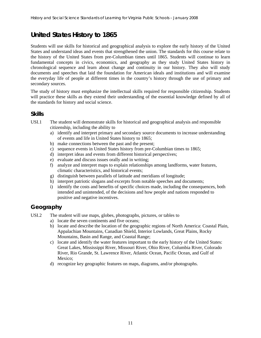# **United States History to 1865**

Students will use skills for historical and geographical analysis to explore the early history of the United States and understand ideas and events that strengthened the union. The standards for this course relate to the history of the United States from pre-Columbian times until 1865. Students will continue to learn fundamental concepts in civics, economics, and geography as they study United States history in chronological sequence and learn about change and continuity in our history. They also will study documents and speeches that laid the foundation for American ideals and institutions and will examine the everyday life of people at different times in the country's history through the use of primary and secondary sources.

The study of history must emphasize the intellectual skills required for responsible citizenship. Students will practice these skills as they extend their understanding of the essential knowledge defined by all of the standards for history and social science.

#### **Skills**

- USI.1 The student will demonstrate skills for historical and geographical analysis and responsible citizenship, including the ability to
	- a) identify and interpret primary and secondary source documents to increase understanding of events and life in United States history to 1865;
	- b) make connections between the past and the present;
	- c) sequence events in United States history from pre-Columbian times to 1865;
	- d) interpret ideas and events from different historical perspectives;
	- e) evaluate and discuss issues orally and in writing;
	- f) analyze and interpret maps to explain relationships among landforms, water features, climatic characteristics, and historical events;
	- g) distinguish between parallels of latitude and meridians of longitude;
	- h) interpret patriotic slogans and excerpts from notable speeches and documents;
	- i) identify the costs and benefits of specific choices made, including the consequences, both intended and unintended, of the decisions and how people and nations responded to positive and negative incentives.

## **Geography**

- USI.2 The student will use maps, globes, photographs, pictures, or tables to
	- a) locate the seven continents and five oceans;
	- b) locate and describe the location of the geographic regions of North America: Coastal Plain, Appalachian Mountains, Canadian Shield, Interior Lowlands, Great Plains, Rocky Mountains, Basin and Range, and Coastal Range;
	- c) locate and identify the water features important to the early history of the United States: Great Lakes, Mississippi River, Missouri River, Ohio River, Columbia River, Colorado River, Rio Grande, St. Lawrence River, Atlantic Ocean, Pacific Ocean, and Gulf of Mexico;
	- d) recognize key geographic features on maps, diagrams, and/or photographs.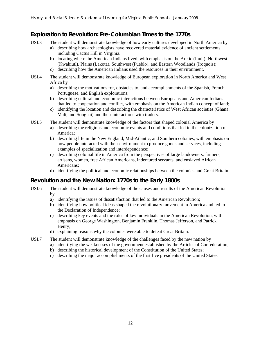## **Exploration to Revolution: Pre-Columbian Times to the 1770s**

- USI.3 The student will demonstrate knowledge of how early cultures developed in North America by
	- a) describing how archaeologists have recovered material evidence of ancient settlements, including Cactus Hill in Virginia.
		- b) locating where the American Indians lived, with emphasis on the Arctic (Inuit), Northwest (Kwakiutl), Plains (Lakota), Southwest (Pueblo), and Eastern Woodlands (Iroquois);
		- c) describing how the American Indians used the resources in their environment.
- USI.4 The student will demonstrate knowledge of European exploration in North America and West Africa by
	- a) describing the motivations for, obstacles to, and accomplishments of the Spanish, French, Portuguese, and English explorations;
	- b) describing cultural and economic interactions between Europeans and American Indians that led to cooperation and conflict, with emphasis on the American Indian concept of land;
	- c) identifying the location and describing the characteristics of West African societies (Ghana, Mali, and Songhai) and their interactions with traders.
- USI.5 The student will demonstrate knowledge of the factors that shaped colonial America by
	- a) describing the religious and economic events and conditions that led to the colonization of America;
	- b) describing life in the New England, Mid-Atlantic, and Southern colonies, with emphasis on how people interacted with their environment to produce goods and services, including examples of specialization and interdependence;
	- c) describing colonial life in America from the perspectives of large landowners, farmers, artisans, women, free African Americans, indentured servants, and enslaved African Americans;
	- d) identifying the political and economic relationships between the colonies and Great Britain.

## **Revolution and the New Nation: 1770s to the Early 1800s**

- USI.6 The student will demonstrate knowledge of the causes and results of the American Revolution by
	- a) identifying the issues of dissatisfaction that led to the American Revolution;
	- b) identifying how political ideas shaped the revolutionary movement in America and led to the Declaration of Independence;
	- c) describing key events and the roles of key individuals in the American Revolution, with emphasis on George Washington, Benjamin Franklin, Thomas Jefferson, and Patrick Henry;
	- d) explaining reasons why the colonies were able to defeat Great Britain.
- USI.7 The student will demonstrate knowledge of the challenges faced by the new nation by
	- a) identifying the weaknesses of the government established by the Articles of Confederation;
		- b) describing the historical development of the Constitution of the United States;
		- c) describing the major accomplishments of the first five presidents of the United States.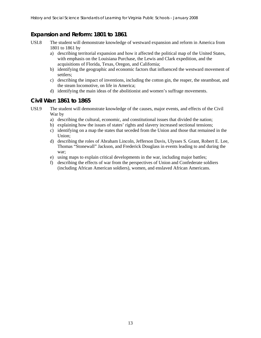## **Expansion and Reform: 1801 to 1861**

- USI.8 The student will demonstrate knowledge of westward expansion and reform in America from 1801 to 1861 by
	- a) describing territorial expansion and how it affected the political map of the United States, with emphasis on the Louisiana Purchase, the Lewis and Clark expedition, and the acquisitions of Florida, Texas, Oregon, and California;
	- b) identifying the geographic and economic factors that influenced the westward movement of settlers;
	- c) describing the impact of inventions, including the cotton gin, the reaper, the steamboat, and the steam locomotive, on life in America;
	- d) identifying the main ideas of the abolitionist and women's suffrage movements.

#### **Civil War: 1861 to 1865**

- USI.9 The student will demonstrate knowledge of the causes, major events, and effects of the Civil War by
	- a) describing the cultural, economic, and constitutional issues that divided the nation;
	- b) explaining how the issues of states' rights and slavery increased sectional tensions;
	- c) identifying on a map the states that seceded from the Union and those that remained in the Union;
	- d) describing the roles of Abraham Lincoln, Jefferson Davis, Ulysses S. Grant, Robert E. Lee, Thomas "Stonewall" Jackson, and Frederick Douglass in events leading to and during the war;
	- e) using maps to explain critical developments in the war, including major battles;
	- f) describing the effects of war from the perspectives of Union and Confederate soldiers (including African American soldiers), women, and enslaved African Americans.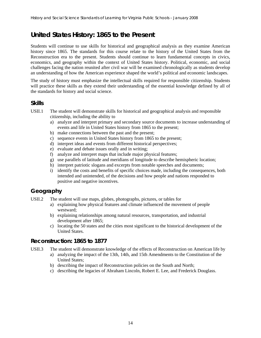## **United States History: 1865 to the Present**

Students will continue to use skills for historical and geographical analysis as they examine American history since 1865. The standards for this course relate to the history of the United States from the Reconstruction era to the present. Students should continue to learn fundamental concepts in civics, economics, and geography within the context of United States history. Political, economic, and social challenges facing the nation reunited after civil war will be examined chronologically as students develop an understanding of how the American experience shaped the world's political and economic landscapes.

The study of history must emphasize the intellectual skills required for responsible citizenship. Students will practice these skills as they extend their understanding of the essential knowledge defined by all of the standards for history and social science.

#### **Skills**

- USII.1 The student will demonstrate skills for historical and geographical analysis and responsible citizenship, including the ability to
	- a) analyze and interpret primary and secondary source documents to increase understanding of events and life in United States history from 1865 to the present;
	- b) make connections between the past and the present;
	- c) sequence events in United States history from 1865 to the present;
	- d) interpret ideas and events from different historical perspectives;
	- e) evaluate and debate issues orally and in writing;
	- f) analyze and interpret maps that include major physical features;
	- g) use parallels of latitude and meridians of longitude to describe hemispheric location;
	- h) interpret patriotic slogans and excerpts from notable speeches and documents;
	- i) identify the costs and benefits of specific choices made, including the consequences, both intended and unintended, of the decisions and how people and nations responded to positive and negative incentives.

#### **Geography**

- USII.2 The student will use maps, globes, photographs, pictures, or tables for
	- a) explaining how physical features and climate influenced the movement of people westward;
	- b) explaining relationships among natural resources, transportation, and industrial development after 1865;
	- c) locating the 50 states and the cities most significant to the historical development of the United States.

#### **Reconstruction: 1865 to 1877**

USII.3 The student will demonstrate knowledge of the effects of Reconstruction on American life by

- a) analyzing the impact of the 13th, 14th, and 15th Amendments to the Constitution of the United States;
- b) describing the impact of Reconstruction policies on the South and North;
- c) describing the legacies of Abraham Lincoln, Robert E. Lee, and Frederick Douglass.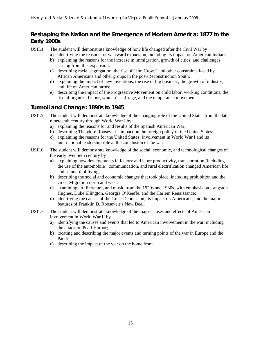## **Reshaping the Nation and the Emergence of Modern America: 1877 to the Early 1900s**

USII.4 The student will demonstrate knowledge of how life changed after the Civil War by

- a) identifying the reasons for westward expansion, including its impact on American Indians;
- b) explaining the reasons for the increase in immigration, growth of cities, and challenges arising from this expansion;
- c) describing racial segregation, the rise of "Jim Crow," and other constraints faced by African Americans and other groups in the post-Reconstruction South;
- d) explaining the impact of new inventions, the rise of big business, the growth of industry, and life on American farms;
- e) describing the impact of the Progressive Movement on child labor, working conditions, the rise of organized labor, women's suffrage, and the temperance movement.

## **Turmoil and Change: 1890s to 1945**

- USII.5 The student will demonstrate knowledge of the changing role of the United States from the late nineteenth century through World War I by
	- a) explaining the reasons for and results of the Spanish American War;
	- b) describing Theodore Roosevelt's impact on the foreign policy of the United States;
	- c) explaining the reasons for the United States' involvement in World War I and its international leadership role at the conclusion of the war.
- USII.6 The student will demonstrate knowledge of the social, economic, and technological changes of the early twentieth century by
	- a) explaining how developments in factory and labor productivity, transportation (including the use of the automobile), communication, and rural electrification changed American life and standard of living;
	- b) describing the social and economic changes that took place, including prohibition and the Great Migration north and west;
	- c) examining art, literature, and music from the 1920s and 1930s, with emphasis on Langston Hughes, Duke Ellington, Georgia O'Keeffe, and the Harlem Renaissance;
	- d) identifying the causes of the Great Depression, its impact on Americans, and the major features of Franklin D. Roosevelt's New Deal.
- USII.7 The student will demonstrate knowledge of the major causes and effects of American involvement in World War II by
	- a) identifying the causes and events that led to American involvement in the war, including the attack on Pearl Harbor;
	- b) locating and describing the major events and turning points of the war in Europe and the Pacific;
	- c) describing the impact of the war on the home front.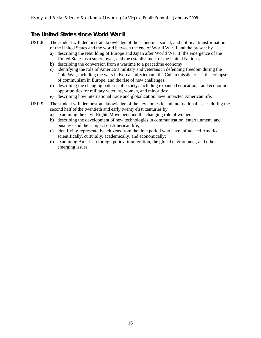## **The United States since World War II**

- USII.8 The student will demonstrate knowledge of the economic, social, and political transformation of the United States and the world between the end of World War II and the present by
	- a) describing the rebuilding of Europe and Japan after World War II, the emergence of the United States as a superpower, and the establishment of the United Nations;
	- b) describing the conversion from a wartime to a peacetime economy;
	- c) identifying the role of America's military and veterans in defending freedom during the Cold War, including the wars in Korea and Vietnam, the Cuban missile crisis, the collapse of communism in Europe, and the rise of new challenges;
	- d) describing the changing patterns of society, including expanded educational and economic opportunities for military veterans, women, and minorities;
	- e) describing how international trade and globalization have impacted American life.
- USII.9 The student will demonstrate knowledge of the key domestic and international issues during the second half of the twentieth and early twenty-first centuries by
	- a) examining the Civil Rights Movement and the changing role of women;
	- b) describing the development of new technologies in communication, entertainment, and business and their impact on American life;
	- c) identifying representative citizens from the time period who have influenced America scientifically, culturally, academically, and economically;
	- d) examining American foreign policy, immigration, the global environment, and other emerging issues.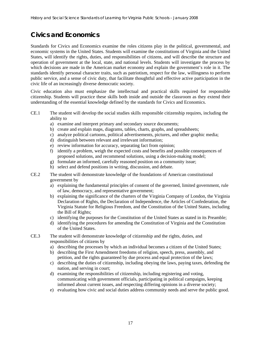# **Civics and Economics**

Standards for Civics and Economics examine the roles citizens play in the political, governmental, and economic systems in the United States. Students will examine the constitutions of Virginia and the United States, will identify the rights, duties, and responsibilities of citizens, and will describe the structure and operation of government at the local, state, and national levels. Students will investigate the process by which decisions are made in the American market economy and explain the government's role in it. The standards identify personal character traits, such as patriotism, respect for the law, willingness to perform public service, and a sense of civic duty, that facilitate thoughtful and effective active participation in the civic life of an increasingly diverse democratic society.

Civic education also must emphasize the intellectual and practical skills required for responsible citizenship. Students will practice these skills both inside and outside the classroom as they extend their understanding of the essential knowledge defined by the standards for Civics and Economics.

- CE.1 The student will develop the social studies skills responsible citizenship requires, including the ability to
	- a) examine and interpret primary and secondary source documents;
	- b) create and explain maps, diagrams, tables, charts, graphs, and spreadsheets;
	- c) analyze political cartoons, political advertisements, pictures, and other graphic media;
	- d) distinguish between relevant and irrelevant information;
	- e) review information for accuracy, separating fact from opinion;
	- f) identify a problem, weigh the expected costs and benefits and possible consequences of proposed solutions, and recommend solutions, using a decision-making model;
	- g) formulate an informed, carefully reasoned position on a community issue;
	- h) select and defend positions in writing, discussion, and debate.
- CE.2 The student will demonstrate knowledge of the foundations of American constitutional government by
	- a) explaining the fundamental principles of consent of the governed, limited government, rule of law, democracy, and representative government;
	- b) explaining the significance of the charters of the Virginia Company of London, the Virginia Declaration of Rights, the Declaration of Independence, the Articles of Confederation, the Virginia Statute for Religious Freedom, and the Constitution of the United States, including the Bill of Rights;
	- c) identifying the purposes for the Constitution of the United States as stated in its Preamble;
	- d) identifying the procedures for amending the Constitution of Virginia and the Constitution of the United States.
- CE.3 The student will demonstrate knowledge of citizenship and the rights, duties, and responsibilities of citizens by
	- a) describing the processes by which an individual becomes a citizen of the United States;
	- b) describing the First Amendment freedoms of religion, speech, press, assembly, and petition, and the rights guaranteed by due process and equal protection of the laws;
	- c) describing the duties of citizenship, including obeying the laws, paying taxes, defending the nation, and serving in court;
	- d) examining the responsibilities of citizenship, including registering and voting, communicating with government officials, participating in political campaigns, keeping informed about current issues, and respecting differing opinions in a diverse society;
	- e) evaluating how civic and social duties address community needs and serve the public good.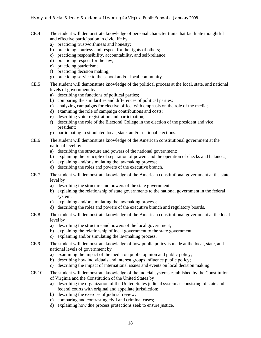- CE.4 The student will demonstrate knowledge of personal character traits that facilitate thoughtful and effective participation in civic life by
	- a) practicing trustworthiness and honesty;
	- b) practicing courtesy and respect for the rights of others;
	- c) practicing responsibility, accountability, and self-reliance;
	- d) practicing respect for the law;
	- e) practicing patriotism;
	- f) practicing decision making;
	- g) practicing service to the school and/or local community.
- CE.5 The student will demonstrate knowledge of the political process at the local, state, and national levels of government by
	- a) describing the functions of political parties;
	- b) comparing the similarities and differences of political parties;
	- c) analyzing campaigns for elective office, with emphasis on the role of the media;
	- d) examining the role of campaign contributions and costs;
	- e) describing voter registration and participation;
	- f) describing the role of the Electoral College in the election of the president and vice president;
	- g) participating in simulated local, state, and/or national elections.
- CE.6 The student will demonstrate knowledge of the American constitutional government at the national level by
	- a) describing the structure and powers of the national government;
	- b) explaining the principle of separation of powers and the operation of checks and balances;
	- c) explaining and/or simulating the lawmaking process;
	- d) describing the roles and powers of the executive branch.
- CE.7 The student will demonstrate knowledge of the American constitutional government at the state level by
	- a) describing the structure and powers of the state government;
	- b) explaining the relationship of state governments to the national government in the federal system;
	- c) explaining and/or simulating the lawmaking process;
	- d) describing the roles and powers of the executive branch and regulatory boards.
- CE.8 The student will demonstrate knowledge of the American constitutional government at the local level by
	- a) describing the structure and powers of the local government;
	- b) explaining the relationship of local government to the state government;
	- c) explaining and/or simulating the lawmaking process.
- CE.9 The student will demonstrate knowledge of how public policy is made at the local, state, and national levels of government by
	- a) examining the impact of the media on public opinion and public policy;
	- b) describing how individuals and interest groups influence public policy;
	- c) describing the impact of international issues and events on local decision making.
- CE.10 The student will demonstrate knowledge of the judicial systems established by the Constitution of Virginia and the Constitution of the United States by
	- a) describing the organization of the United States judicial system as consisting of state and federal courts with original and appellate jurisdiction;
	- b) describing the exercise of judicial review;
	- c) comparing and contrasting civil and criminal cases;
	- d) explaining how due process protections seek to ensure justice.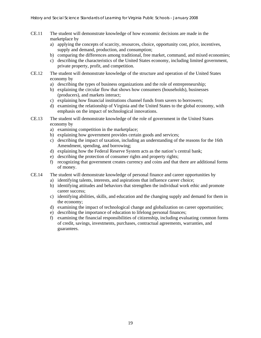- CE.11 The student will demonstrate knowledge of how economic decisions are made in the marketplace by
	- a) applying the concepts of scarcity, resources, choice, opportunity cost, price, incentives, supply and demand, production, and consumption;
	- b) comparing the differences among traditional, free market, command, and mixed economies;
	- c) describing the characteristics of the United States economy, including limited government, private property, profit, and competition.
- CE.12 The student will demonstrate knowledge of the structure and operation of the United States economy by
	- a) describing the types of business organizations and the role of entrepreneurship;
	- b) explaining the circular flow that shows how consumers (households), businesses (producers), and markets interact;
	- c) explaining how financial institutions channel funds from savers to borrowers;
	- d) examining the relationship of Virginia and the United States to the global economy, with emphasis on the impact of technological innovations.
- CE.13 The student will demonstrate knowledge of the role of government in the United States economy by
	- a) examining competition in the marketplace;
	- b) explaining how government provides certain goods and services;
	- c) describing the impact of taxation, including an understanding of the reasons for the 16th Amendment, spending, and borrowing;
	- d) explaining how the Federal Reserve System acts as the nation's central bank;
	- e) describing the protection of consumer rights and property rights;
	- f) recognizing that government creates currency and coins and that there are additional forms of money.
- CE.14 The student will demonstrate knowledge of personal finance and career opportunities by
	- a) identifying talents, interests, and aspirations that influence career choice;
		- b) identifying attitudes and behaviors that strengthen the individual work ethic and promote career success;
		- c) identifying abilities, skills, and education and the changing supply and demand for them in the economy;
	- d) examining the impact of technological change and globalization on career opportunities;
	- e) describing the importance of education to lifelong personal finances;
	- f) examining the financial responsibilities of citizenship, including evaluating common forms of credit, savings, investments, purchases, contractual agreements, warranties, and guarantees.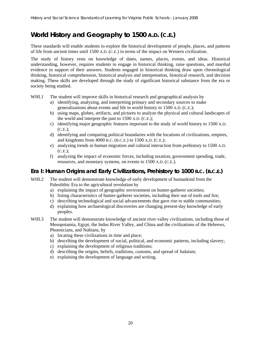# **World History and Geography to 1500 A.D. (C.E.)**

These standards will enable students to explore the historical development of people, places, and patterns of life from ancient times until 1500 A.D. (C.E.) in terms of the impact on Western civilization.

The study of history rests on knowledge of dates, names, places, events, and ideas. Historical understanding, however, requires students to engage in historical thinking, raise questions, and marshal evidence in support of their answers. Students engaged in historical thinking draw upon chronological thinking, historical comprehension, historical analysis and interpretation, historical research, and decision making. These skills are developed through the study of significant historical substance from the era or society being studied.

- WHI.1 The student will improve skills in historical research and geographical analysis by
	- a) identifying, analyzing, and interpreting primary and secondary sources to make generalizations about events and life in world history to 1500 A.D. (C.E.);
	- b) using maps, globes, artifacts, and pictures to analyze the physical and cultural landscapes of the world and interpret the past to 1500 A.D. (C.E.);
	- c) identifying major geographic features important to the study of world history to 1500 A.D. (C.E.);
	- d) identifying and comparing political boundaries with the locations of civilizations, empires, and kingdoms from 4000 B.C. (B.C.E.) to 1500 A.D. (C.E.);
	- e) analyzing trends in human migration and cultural interaction from prehistory to 1500 A.D. (C.E.);
	- f) analyzing the impact of economic forces, including taxation, government spending, trade, resources, and monetary systems, on events to 1500 A.D. (C.E.).

### **Era I: Human Origins and Early Civilizations, Prehistory to 1000 B.C. (B.C.E.)**

- WHI.2 The student will demonstrate knowledge of early development of humankind from the Paleolithic Era to the agricultural revolution by
	- a) explaining the impact of geographic environment on hunter-gatherer societies;
	- b) listing characteristics of hunter-gatherer societies, including their use of tools and fire;
	- c) describing technological and social advancements that gave rise to stable communities;
	- d) explaining how archaeological discoveries are changing present-day knowledge of early peoples.
- WHI.3 The student will demonstrate knowledge of ancient river valley civilizations, including those of Mesopotamia, Egypt, the Indus River Valley, and China and the civilizations of the Hebrews, Phoenicians, and Nubians, by
	- a) locating these civilizations in time and place;
	- b) describing the development of social, political, and economic patterns, including slavery;
	- c) explaining the development of religious traditions;
	- d) describing the origins, beliefs, traditions, customs, and spread of Judaism;
	- e) explaining the development of language and writing.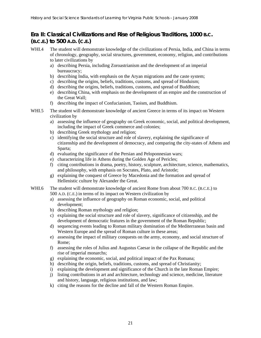## **Era II: Classical Civilizations and Rise of Religious Traditions, 1000 B.C. (B.C.E.) to 500 A.D. (C.E.)**

- WHI.4 The student will demonstrate knowledge of the civilizations of Persia, India, and China in terms of chronology, geography, social structures, government, economy, religion, and contributions to later civilizations by
	- a) describing Persia, including Zoroastrianism and the development of an imperial bureaucracy;
	- b) describing India, with emphasis on the Aryan migrations and the caste system;
	- c) describing the origins, beliefs, traditions, customs, and spread of Hinduism;
	- d) describing the origins, beliefs, traditions, customs, and spread of Buddhism;
	- e) describing China, with emphasis on the development of an empire and the construction of the Great Wall;
	- f) describing the impact of Confucianism, Taoism, and Buddhism.
- WHI.5 The student will demonstrate knowledge of ancient Greece in terms of its impact on Western civilization by
	- a) assessing the influence of geography on Greek economic, social, and political development, including the impact of Greek commerce and colonies;
	- b) describing Greek mythology and religion;
	- c) identifying the social structure and role of slavery, explaining the significance of citizenship and the development of democracy, and comparing the city-states of Athens and Sparta;
	- d) evaluating the significance of the Persian and Peloponnesian wars;
	- e) characterizing life in Athens during the Golden Age of Pericles;
	- f) citing contributions in drama, poetry, history, sculpture, architecture, science, mathematics, and philosophy, with emphasis on Socrates, Plato, and Aristotle;
	- g) explaining the conquest of Greece by Macedonia and the formation and spread of Hellenistic culture by Alexander the Great.
- WHI.6 The student will demonstrate knowledge of ancient Rome from about 700 B.C. (B.C.E.) to 500 A.D. (C.E.) in terms of its impact on Western civilization by
	- a) assessing the influence of geography on Roman economic, social, and political development;
	- b) describing Roman mythology and religion;
	- c) explaining the social structure and role of slavery, significance of citizenship, and the development of democratic features in the government of the Roman Republic;
	- d) sequencing events leading to Roman military domination of the Mediterranean basin and Western Europe and the spread of Roman culture in these areas;
	- e) assessing the impact of military conquests on the army, economy, and social structure of Rome;
	- f) assessing the roles of Julius and Augustus Caesar in the collapse of the Republic and the rise of imperial monarchs;
	- g) explaining the economic, social, and political impact of the Pax Romana;
	- h) describing the origin, beliefs, traditions, customs, and spread of Christianity;
	- i) explaining the development and significance of the Church in the late Roman Empire;
	- j) listing contributions in art and architecture, technology and science, medicine, literature and history, language, religious institutions, and law;
	- k) citing the reasons for the decline and fall of the Western Roman Empire.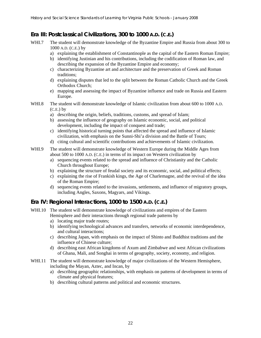## **Era III: Postclassical Civilizations, 300 to 1000 A.D. (C.E.)**

- WHI.7 The student will demonstrate knowledge of the Byzantine Empire and Russia from about 300 to 1000 A.D. (C.E.) by
	- a) explaining the establishment of Constantinople as the capital of the Eastern Roman Empire;
	- b) identifying Justinian and his contributions, including the codification of Roman law, and describing the expansion of the Byzantine Empire and economy;
	- c) characterizing Byzantine art and architecture and the preservation of Greek and Roman traditions;
	- d) explaining disputes that led to the split between the Roman Catholic Church and the Greek Orthodox Church;
	- e) mapping and assessing the impact of Byzantine influence and trade on Russia and Eastern Europe.
- WHI.8 The student will demonstrate knowledge of Islamic civilization from about 600 to 1000 A.D.  $(C.E.)$  by
	- a) describing the origin, beliefs, traditions, customs, and spread of Islam;
	- b) assessing the influence of geography on Islamic economic, social, and political development, including the impact of conquest and trade;
	- c) identifying historical turning points that affected the spread and influence of Islamic civilization, with emphasis on the Sunni-Shi'a division and the Battle of Tours;
	- d) citing cultural and scientific contributions and achievements of Islamic civilization.
- WHI.9 The student will demonstrate knowledge of Western Europe during the Middle Ages from about 500 to 1000 A.D. (C.E.) in terms of its impact on Western civilization by
	- a) sequencing events related to the spread and influence of Christianity and the Catholic Church throughout Europe;
	- b) explaining the structure of feudal society and its economic, social, and political effects;
	- c) explaining the rise of Frankish kings, the Age of Charlemagne, and the revival of the idea of the Roman Empire;
	- d) sequencing events related to the invasions, settlements, and influence of migratory groups, including Angles, Saxons, Magyars, and Vikings.

## **Era IV: Regional Interactions, 1000 to 1500 A.D. (C.E.)**

- WHI.10 The student will demonstrate knowledge of civilizations and empires of the Eastern Hemisphere and their interactions through regional trade patterns by
	- a) locating major trade routes;
	- b) identifying technological advances and transfers, networks of economic interdependence, and cultural interactions;
	- c) describing Japan, with emphasis on the impact of Shinto and Buddhist traditions and the influence of Chinese culture;
	- d) describing east African kingdoms of Axum and Zimbabwe and west African civilizations of Ghana, Mali, and Songhai in terms of geography, society, economy, and religion.
- WHI.11 The student will demonstrate knowledge of major civilizations of the Western Hemisphere, including the Mayan, Aztec, and Incan, by
	- a) describing geographic relationships, with emphasis on patterns of development in terms of climate and physical features;
	- b) describing cultural patterns and political and economic structures.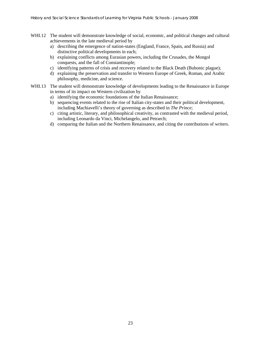- WHI.12 The student will demonstrate knowledge of social, economic, and political changes and cultural achievements in the late medieval period by
	- a) describing the emergence of nation-states (England, France, Spain, and Russia) and distinctive political developments in each;
	- b) explaining conflicts among Eurasian powers, including the Crusades, the Mongol conquests, and the fall of Constantinople;
	- c) identifying patterns of crisis and recovery related to the Black Death (Bubonic plague);
	- d) explaining the preservation and transfer to Western Europe of Greek, Roman, and Arabic philosophy, medicine, and science.
- WHI.13 The student will demonstrate knowledge of developments leading to the Renaissance in Europe in terms of its impact on Western civilization by
	- a) identifying the economic foundations of the Italian Renaissance;
	- b) sequencing events related to the rise of Italian city-states and their political development, including Machiavelli's theory of governing as described in *The Prince*;
	- c) citing artistic, literary, and philosophical creativity, as contrasted with the medieval period, including Leonardo da Vinci, Michelangelo, and Petrarch;
	- d) comparing the Italian and the Northern Renaissance, and citing the contributions of writers.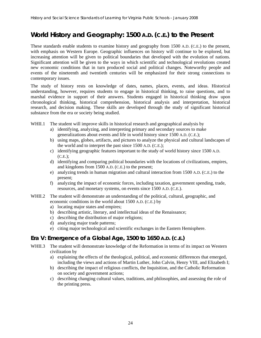# **World History and Geography: 1500 A.D. (C.E.) to the Present**

These standards enable students to examine history and geography from 1500 A.D. (C.E.) to the present, with emphasis on Western Europe. Geographic influences on history will continue to be explored, but increasing attention will be given to political boundaries that developed with the evolution of nations. Significant attention will be given to the ways in which scientific and technological revolutions created new economic conditions that in turn produced social and political changes. Noteworthy people and events of the nineteenth and twentieth centuries will be emphasized for their strong connections to contemporary issues.

The study of history rests on knowledge of dates, names, places, events, and ideas. Historical understanding, however, requires students to engage in historical thinking, to raise questions, and to marshal evidence in support of their answers. Students engaged in historical thinking draw upon chronological thinking, historical comprehension, historical analysis and interpretation, historical research, and decision making. These skills are developed through the study of significant historical substance from the era or society being studied.

- WHII.1 The student will improve skills in historical research and geographical analysis by
	- a) identifying, analyzing, and interpreting primary and secondary sources to make generalizations about events and life in world history since 1500 A.D. (C.E.);
	- b) using maps, globes, artifacts, and pictures to analyze the physical and cultural landscapes of the world and to interpret the past since 1500 A.D. (C.E.);
	- c) identifying geographic features important to the study of world history since 1500 A.D. (C.E.);
	- d) identifying and comparing political boundaries with the locations of civilizations, empires, and kingdoms from 1500 A.D. (C.E.) to the present;
	- e) analyzing trends in human migration and cultural interaction from 1500 A.D. (C.E.) to the present;
	- f) analyzing the impact of economic forces, including taxation, government spending, trade, resources, and monetary systems, on events since 1500 A.D. (C.E.).
- WHII.2 The student will demonstrate an understanding of the political, cultural, geographic, and economic conditions in the world about 1500 A.D. (C.E.) by
	- a) locating major states and empires;
	- b) describing artistic, literary, and intellectual ideas of the Renaissance;
	- c) describing the distribution of major religions;
	- d) analyzing major trade patterns;
	- e) citing major technological and scientific exchanges in the Eastern Hemisphere.

#### **Era V: Emergence of a Global Age, 1500 to 1650 A.D. (C.E.)**

- WHII.3 The student will demonstrate knowledge of the Reformation in terms of its impact on Western civilization by
	- a) explaining the effects of the theological, political, and economic differences that emerged, including the views and actions of Martin Luther, John Calvin, Henry VIII, and Elizabeth I;
	- b) describing the impact of religious conflicts, the Inquisition, and the Catholic Reformation on society and government actions;
	- c) describing changing cultural values, traditions, and philosophies, and assessing the role of the printing press.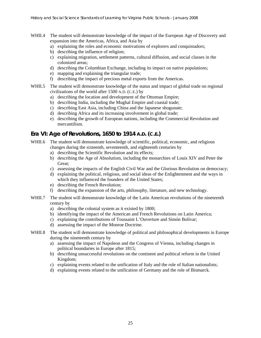- WHII.4 The student will demonstrate knowledge of the impact of the European Age of Discovery and expansion into the Americas, Africa, and Asia by
	- a) explaining the roles and economic motivations of explorers and conquistadors;
	- b) describing the influence of religion;
	- c) explaining migration, settlement patterns, cultural diffusion, and social classes in the colonized areas;
	- d) describing the Columbian Exchange, including its impact on native populations;
	- e) mapping and explaining the triangular trade;
	- f) describing the impact of precious metal exports from the Americas.
- WHII.5 The student will demonstrate knowledge of the status and impact of global trade on regional civilizations of the world after 1500 A.D. (C.E.) by
	- a) describing the location and development of the Ottoman Empire;
	- b) describing India, including the Mughal Empire and coastal trade;
	- c) describing East Asia, including China and the Japanese shogunate;
	- d) describing Africa and its increasing involvement in global trade;
	- e) describing the growth of European nations, including the Commercial Revolution and mercantilism.

#### **Era VI: Age of Revolutions, 1650 to 1914 A.D. (C.E.)**

- WHII.6 The student will demonstrate knowledge of scientific, political, economic, and religious changes during the sixteenth, seventeenth, and eighteenth centuries by
	- a) describing the Scientific Revolution and its effects;
	- b) describing the Age of Absolutism, including the monarchies of Louis XIV and Peter the Great;
	- c) assessing the impacts of the English Civil War and the Glorious Revolution on democracy;
	- d) explaining the political, religious, and social ideas of the Enlightenment and the ways in which they influenced the founders of the United States;
	- e) describing the French Revolution;
	- f) describing the expansion of the arts, philosophy, literature, and new technology.
- WHII.7 The student will demonstrate knowledge of the Latin American revolutions of the nineteenth century by
	- a) describing the colonial system as it existed by 1800;
	- b) identifying the impact of the American and French Revolutions on Latin America;
	- c) explaining the contributions of Toussaint L'Ouverture and Simón Bolívar;
	- d) assessing the impact of the Monroe Doctrine.
- WHII.8 The student will demonstrate knowledge of political and philosophical developments in Europe during the nineteenth century by
	- a) assessing the impact of Napoleon and the Congress of Vienna, including changes in political boundaries in Europe after 1815;
	- b) describing unsuccessful revolutions on the continent and political reform in the United Kingdom;
	- c) explaining events related to the unification of Italy and the role of Italian nationalists;
	- d) explaining events related to the unification of Germany and the role of Bismarck.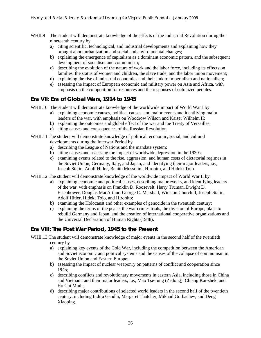- WHII.9 The student will demonstrate knowledge of the effects of the Industrial Revolution during the nineteenth century by
	- a) citing scientific, technological, and industrial developments and explaining how they brought about urbanization and social and environmental changes;
	- b) explaining the emergence of capitalism as a dominant economic pattern, and the subsequent development of socialism and communism;
	- c) describing the evolution of the nature of work and the labor force, including its effects on families, the status of women and children, the slave trade, and the labor union movement;
	- d) explaining the rise of industrial economies and their link to imperialism and nationalism;
	- e) assessing the impact of European economic and military power on Asia and Africa, with emphasis on the competition for resources and the responses of colonized peoples.

#### **Era VII: Era of Global Wars, 1914 to 1945**

WHII.10 The student will demonstrate knowledge of the worldwide impact of World War I by

- a) explaining economic causes, political causes, and major events and identifying major leaders of the war, with emphasis on Woodrow Wilson and Kaiser Wilhelm II;
- b) explaining the outcomes and global effect of the war and the Treaty of Versailles;
- c) citing causes and consequences of the Russian Revolution.
- WHII.11 The student will demonstrate knowledge of political, economic, social, and cultural developments during the Interwar Period by
	- a) describing the League of Nations and the mandate system;
	- b) citing causes and assessing the impact of worldwide depression in the 1930s;
	- c) examining events related to the rise, aggression, and human costs of dictatorial regimes in the Soviet Union, Germany, Italy, and Japan, and identifying their major leaders, i.e., Joseph Stalin, Adolf Hitler, Benito Mussolini, Hirohito, and Hideki Tojo.
- WHII.12 The student will demonstrate knowledge of the worldwide impact of World War II by
	- a) explaining economic and political causes, describing major events, and identifying leaders of the war, with emphasis on Franklin D. Roosevelt, Harry Truman, Dwight D. Eisenhower, Douglas MacArthur, George C. Marshall, Winston Churchill, Joseph Stalin, Adolf Hitler, Hideki Tojo, and Hirohito;
	- b) examining the Holocaust and other examples of genocide in the twentieth century;
	- c) explaining the terms of the peace, the war crimes trials, the division of Europe, plans to rebuild Germany and Japan, and the creation of international cooperative organizations and the Universal Declaration of Human Rights (1948).

#### **Era VIII: The Post War Period, 1945 to the Present**

WHII.13 The student will demonstrate knowledge of major events in the second half of the twentieth century by

- a) explaining key events of the Cold War, including the competition between the American and Soviet economic and political systems and the causes of the collapse of communism in the Soviet Union and Eastern Europe;
- b) assessing the impact of nuclear weaponry on patterns of conflict and cooperation since 1945;
- c) describing conflicts and revolutionary movements in eastern Asia, including those in China and Vietnam, and their major leaders, i.e., Mao Tse-tung (Zedong), Chiang Kai-shek, and Ho Chi Minh;
- d) describing major contributions of selected world leaders in the second half of the twentieth century, including Indira Gandhi, Margaret Thatcher, Mikhail Gorbachev, and Deng Xiaoping.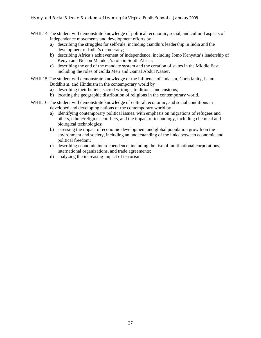- WHII.14 The student will demonstrate knowledge of political, economic, social, and cultural aspects of independence movements and development efforts by
	- a) describing the struggles for self-rule, including Gandhi's leadership in India and the development of India's democracy;
	- b) describing Africa's achievement of independence, including Jomo Kenyatta's leadership of Kenya and Nelson Mandela's role in South Africa;
	- c) describing the end of the mandate system and the creation of states in the Middle East, including the roles of Golda Meir and Gamal Abdul Nasser.
- WHII.15 The student will demonstrate knowledge of the influence of Judaism, Christianity, Islam, Buddhism, and Hinduism in the contemporary world by
	- a) describing their beliefs, sacred writings, traditions, and customs;
	- b) locating the geographic distribution of religions in the contemporary world.
- WHII.16 The student will demonstrate knowledge of cultural, economic, and social conditions in developed and developing nations of the contemporary world by
	- a) identifying contemporary political issues, with emphasis on migrations of refugees and others, ethnic/religious conflicts, and the impact of technology, including chemical and biological technologies;
	- b) assessing the impact of economic development and global population growth on the environment and society, including an understanding of the links between economic and political freedom;
	- c) describing economic interdependence, including the rise of multinational corporations, international organizations, and trade agreements;
	- d) analyzing the increasing impact of terrorism.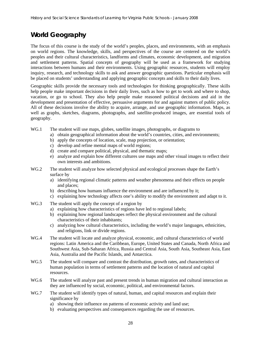# **World Geography**

The focus of this course is the study of the world's peoples, places, and environments, with an emphasis on world regions. The knowledge, skills, and perspectives of the course are centered on the world's peoples and their cultural characteristics, landforms and climates, economic development, and migration and settlement patterns. Spatial concepts of geography will be used as a framework for studying interactions between humans and their environments. Using geographic resources, students will employ inquiry, research, and technology skills to ask and answer geographic questions. Particular emphasis will be placed on students' understanding and applying geographic concepts and skills to their daily lives.

Geographic skills provide the necessary tools and technologies for thinking geographically. These skills help people make important decisions in their daily lives, such as how to get to work and where to shop, vacation, or go to school. They also help people make reasoned political decisions and aid in the development and presentation of effective, persuasive arguments for and against matters of public policy. All of these decisions involve the ability to acquire, arrange, and use geographic information. Maps, as well as graphs, sketches, diagrams, photographs, and satellite-produced images, are essential tools of geography.

- WG.1 The student will use maps, globes, satellite images, photographs, or diagrams to
	- a) obtain geographical information about the world's countries, cities, and environments;
	- b) apply the concepts of location, scale, map projection, or orientation;
	- c) develop and refine mental maps of world regions;
	- d) create and compare political, physical, and thematic maps;
	- e) analyze and explain how different cultures use maps and other visual images to reflect their own interests and ambitions.
- WG.2 The student will analyze how selected physical and ecological processes shape the Earth's surface by
	- a) identifying regional climatic patterns and weather phenomena and their effects on people and places;
	- b) describing how humans influence the environment and are influenced by it;
	- c) explaining how technology affects one's ability to modify the environment and adapt to it.
- WG.3 The student will apply the concept of a region by
	- a) explaining how characteristics of regions have led to regional labels;
	- b) explaining how regional landscapes reflect the physical environment and the cultural characteristics of their inhabitants;
	- c) analyzing how cultural characteristics, including the world's major languages, ethnicities, and religions, link or divide regions.
- WG.4 The student will locate and analyze physical, economic, and cultural characteristics of world regions: Latin America and the Caribbean, Europe, United States and Canada, North Africa and Southwest Asia, Sub-Saharan Africa, Russia and Central Asia, South Asia, Southeast Asia, East Asia, Australia and the Pacific Islands, and Antarctica.
- WG.5 The student will compare and contrast the distribution, growth rates, and characteristics of human population in terms of settlement patterns and the location of natural and capital resources.
- WG.6 The student will analyze past and present trends in human migration and cultural interaction as they are influenced by social, economic, political, and environmental factors.
- WG.7 The student will identify types of natural, human, and capital resources and explain their significance by
	- a) showing their influence on patterns of economic activity and land use;
	- b) evaluating perspectives and consequences regarding the use of resources.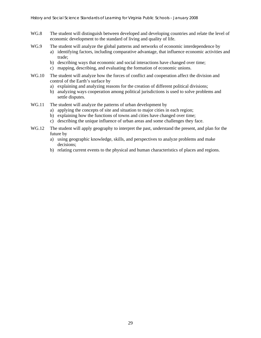- WG.8 The student will distinguish between developed and developing countries and relate the level of economic development to the standard of living and quality of life.
- WG.9 The student will analyze the global patterns and networks of economic interdependence by
	- a) identifying factors, including comparative advantage, that influence economic activities and trade;
	- b) describing ways that economic and social interactions have changed over time;
	- c) mapping, describing, and evaluating the formation of economic unions.
- WG.10 The student will analyze how the forces of conflict and cooperation affect the division and control of the Earth's surface by
	- a) explaining and analyzing reasons for the creation of different political divisions;
	- b) analyzing ways cooperation among political jurisdictions is used to solve problems and settle disputes.
- WG.11 The student will analyze the patterns of urban development by
	- a) applying the concepts of site and situation to major cities in each region;
	- b) explaining how the functions of towns and cities have changed over time;
	- c) describing the unique influence of urban areas and some challenges they face.
- WG.12 The student will apply geography to interpret the past, understand the present, and plan for the future by
	- a) using geographic knowledge, skills, and perspectives to analyze problems and make decisions;
	- b) relating current events to the physical and human characteristics of places and regions.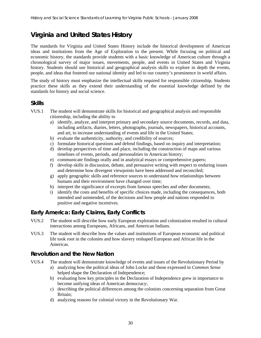# **Virginia and United States History**

The standards for Virginia and United States History include the historical development of American ideas and institutions from the Age of Exploration to the present. While focusing on political and economic history, the standards provide students with a basic knowledge of American culture through a chronological survey of major issues, movements, people, and events in United States and Virginia history. Students should use historical and geographical analysis skills to explore in depth the events, people, and ideas that fostered our national identity and led to our country's prominence in world affairs.

The study of history must emphasize the intellectual skills required for responsible citizenship. Students practice these skills as they extend their understanding of the essential knowledge defined by the standards for history and social science.

#### **Skills**

- VUS.1 The student will demonstrate skills for historical and geographical analysis and responsible citizenship, including the ability to
	- a) identify, analyze, and interpret primary and secondary source documents, records, and data, including artifacts, diaries, letters, photographs, journals, newspapers, historical accounts, and art, to increase understanding of events and life in the United States;
	- b) evaluate the authenticity, authority, and credibility of sources;
	- c) formulate historical questions and defend findings, based on inquiry and interpretation;
	- d) develop perspectives of time and place, including the construction of maps and various timelines of events, periods, and personalities in American history;
	- e) communicate findings orally and in analytical essays or comprehensive papers;
	- f) develop skills in discussion, debate, and persuasive writing with respect to enduring issues and determine how divergent viewpoints have been addressed and reconciled;
	- g) apply geographic skills and reference sources to understand how relationships between humans and their environment have changed over time;
	- h) interpret the significance of excerpts from famous speeches and other documents;
	- i) identify the costs and benefits of specific choices made, including the consequences, both intended and unintended, of the decisions and how people and nations responded to positive and negative incentives.

#### **Early America: Early Claims, Early Conflicts**

- VUS.2 The student will describe how early European exploration and colonization resulted in cultural interactions among Europeans, Africans, and American Indians.
- VUS.3 The student will describe how the values and institutions of European economic and political life took root in the colonies and how slavery reshaped European and African life in the Americas.

#### **Revolution and the New Nation**

- VUS.4 The student will demonstrate knowledge of events and issues of the Revolutionary Period by
	- a) analyzing how the political ideas of John Locke and those expressed in *Common Sense*  helped shape the Declaration of Independence;
	- b) evaluating how key principles in the Declaration of Independence grew in importance to become unifying ideas of American democracy;
	- c) describing the political differences among the colonists concerning separation from Great Britain;
	- d) analyzing reasons for colonial victory in the Revolutionary War.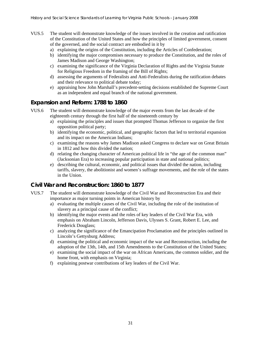- VUS.5 The student will demonstrate knowledge of the issues involved in the creation and ratification of the Constitution of the United States and how the principles of limited government, consent of the governed, and the social contract are embodied in it by
	- a) explaining the origins of the Constitution, including the Articles of Confederation;
	- b) identifying the major compromises necessary to produce the Constitution, and the roles of James Madison and George Washington;
	- c) examining the significance of the Virginia Declaration of Rights and the Virginia Statute for Religious Freedom in the framing of the Bill of Rights;
	- d) assessing the arguments of Federalists and Anti-Federalists during the ratification debates and their relevance to political debate today;
	- e) appraising how John Marshall's precedent-setting decisions established the Supreme Court as an independent and equal branch of the national government.

#### **Expansion and Reform: 1788 to 1860**

- VUS.6 The student will demonstrate knowledge of the major events from the last decade of the eighteenth century through the first half of the nineteenth century by
	- a) explaining the principles and issues that prompted Thomas Jefferson to organize the first opposition political party;
	- b) identifying the economic, political, and geographic factors that led to territorial expansion and its impact on the American Indians;
	- c) examining the reasons why James Madison asked Congress to declare war on Great Britain in 1812 and how this divided the nation;
	- d) relating the changing character of American political life in "the age of the common man" (Jacksonian Era) to increasing popular participation in state and national politics;
	- e) describing the cultural, economic, and political issues that divided the nation, including tariffs, slavery, the abolitionist and women's suffrage movements, and the role of the states in the Union.

#### **Civil War and Reconstruction: 1860 to 1877**

- VUS.7 The student will demonstrate knowledge of the Civil War and Reconstruction Era and their importance as major turning points in American history by
	- a) evaluating the multiple causes of the Civil War, including the role of the institution of slavery as a principal cause of the conflict;
	- b) identifying the major events and the roles of key leaders of the Civil War Era, with emphasis on Abraham Lincoln, Jefferson Davis, Ulysses S. Grant, Robert E. Lee, and Frederick Douglass;
	- c) analyzing the significance of the Emancipation Proclamation and the principles outlined in Lincoln's Gettysburg Address;
	- d) examining the political and economic impact of the war and Reconstruction, including the adoption of the 13th, 14th, and 15th Amendments to the Constitution of the United States;
	- e) examining the social impact of the war on African Americans, the common soldier, and the home front, with emphasis on Virginia;
	- f) explaining postwar contributions of key leaders of the Civil War.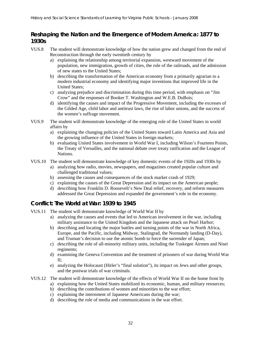## **Reshaping the Nation and the Emergence of Modern America: 1877 to 1930s**

- VUS.8 The student will demonstrate knowledge of how the nation grew and changed from the end of Reconstruction through the early twentieth century by
	- a) explaining the relationship among territorial expansion, westward movement of the population, new immigration, growth of cities, the role of the railroads, and the admission of new states to the United States;
	- b) describing the transformation of the American economy from a primarily agrarian to a modern industrial economy and identifying major inventions that improved life in the United States;
	- c) analyzing prejudice and discrimination during this time period, with emphasis on "Jim Crow" and the responses of Booker T. Washington and W.E.B. DuBois;
	- d) identifying the causes and impact of the Progressive Movement, including the excesses of the Gilded Age, child labor and antitrust laws, the rise of labor unions, and the success of the women's suffrage movement.
- VUS.9 The student will demonstrate knowledge of the emerging role of the United States in world affairs by
	- a) explaining the changing policies of the United States toward Latin America and Asia and the growing influence of the United States in foreign markets;
	- b) evaluating United States involvement in World War I, including Wilson's Fourteen Points, the Treaty of Versailles, and the national debate over treaty ratification and the League of Nations.
- VUS.10 The student will demonstrate knowledge of key domestic events of the 1920s and 1930s by
	- a) analyzing how radio, movies, newspapers, and magazines created popular culture and challenged traditional values;
	- b) assessing the causes and consequences of the stock market crash of 1929;
	- c) explaining the causes of the Great Depression and its impact on the American people;
	- d) describing how Franklin D. Roosevelt's New Deal relief, recovery, and reform measures addressed the Great Depression and expanded the government's role in the economy.

## **Conflict: The World at War: 1939 to 1945**

- VUS.11 The student will demonstrate knowledge of World War II by
	- a) analyzing the causes and events that led to American involvement in the war, including military assistance to the United Kingdom and the Japanese attack on Pearl Harbor;
	- b) describing and locating the major battles and turning points of the war in North Africa, Europe, and the Pacific, including Midway, Stalingrad, the Normandy landing (D-Day), and Truman's decision to use the atomic bomb to force the surrender of Japan;
	- c) describing the role of all-minority military units, including the Tuskegee Airmen and Nisei regiments;
	- d) examining the Geneva Convention and the treatment of prisoners of war during World War II;
	- e) analyzing the Holocaust (Hitler's "final solution"), its impact on Jews and other groups, and the postwar trials of war criminals.

#### VUS.12 The student will demonstrate knowledge of the effects of World War II on the home front by

- a) explaining how the United States mobilized its economic, human, and military resources;
- b) describing the contributions of women and minorities to the war effort;
- c) explaining the internment of Japanese Americans during the war;
- d) describing the role of media and communications in the war effort.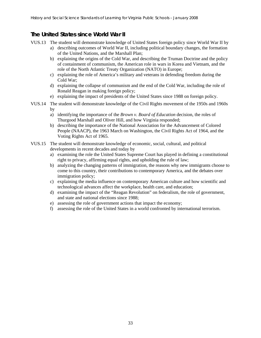## **The United States since World War II**

- VUS.13 The student will demonstrate knowledge of United States foreign policy since World War II by
	- a) describing outcomes of World War II, including political boundary changes, the formation of the United Nations, and the Marshall Plan;
	- b) explaining the origins of the Cold War, and describing the Truman Doctrine and the policy of containment of communism, the American role in wars in Korea and Vietnam, and the role of the North Atlantic Treaty Organization (NATO) in Europe;
	- c) explaining the role of America's military and veterans in defending freedom during the Cold War;
	- d) explaining the collapse of communism and the end of the Cold War, including the role of Ronald Reagan in making foreign policy;
	- e) explaining the impact of presidents of the United States since 1988 on foreign policy.
- VUS.14 The student will demonstrate knowledge of the Civil Rights movement of the 1950s and 1960s by
	- a) identifying the importance of the *Brown v. Board of Education* decision, the roles of Thurgood Marshall and Oliver Hill, and how Virginia responded;
	- b) describing the importance of the National Association for the Advancement of Colored People (NAACP), the 1963 March on Washington, the Civil Rights Act of 1964, and the Voting Rights Act of 1965.
- VUS.15 The student will demonstrate knowledge of economic, social, cultural, and political developments in recent decades and today by
	- a) examining the role the United States Supreme Court has played in defining a constitutional right to privacy, affirming equal rights, and upholding the rule of law;
	- b) analyzing the changing patterns of immigration, the reasons why new immigrants choose to come to this country, their contributions to contemporary America, and the debates over immigration policy;
	- c) explaining the media influence on contemporary American culture and how scientific and technological advances affect the workplace, health care, and education;
	- d) examining the impact of the "Reagan Revolution" on federalism, the role of government, and state and national elections since 1988;
	- e) assessing the role of government actions that impact the economy;
	- f) assessing the role of the United States in a world confronted by international terrorism.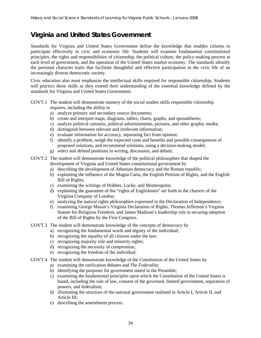## **Virginia and United States Government**

Standards for Virginia and United States Government define the knowledge that enables citizens to participate effectively in civic and economic life. Students will examine fundamental constitutional principles, the rights and responsibilities of citizenship, the political culture, the policy-making process at each level of government, and the operation of the United States market economy. The standards identify the personal character traits that facilitate thoughtful and effective participation in the civic life of an increasingly diverse democratic society.

Civic education also must emphasize the intellectual skills required for responsible citizenship. Students will practice these skills as they extend their understanding of the essential knowledge defined by the standards for Virginia and United States Government.

- GOVT.1 The student will demonstrate mastery of the social studies skills responsible citizenship requires, including the ability to
	- a) analyze primary and secondary source documents;
	- b) create and interpret maps, diagrams, tables, charts, graphs, and spreadsheets;
	- c) analyze political cartoons, political advertisements, pictures, and other graphic media;
	- d) distinguish between relevant and irrelevant information;
	- e) evaluate information for accuracy, separating fact from opinion;
	- f) identify a problem, weigh the expected costs and benefits and possible consequences of proposed solutions, and recommend solutions, using a decision-making model;
	- g) select and defend positions in writing, discussion, and debate.
- GOVT.2 The student will demonstrate knowledge of the political philosophies that shaped the development of Virginia and United States constitutional government by
	- a) describing the development of Athenian democracy and the Roman republic;
	- b) explaining the influence of the Magna Carta, the English Petition of Rights, and the English Bill of Rights;
	- c) examining the writings of Hobbes, Locke, and Montesquieu;
	- d) explaining the guarantee of the "rights of Englishmen" set forth in the charters of the Virginia Company of London;
	- e) analyzing the natural rights philosophies expressed in the Declaration of Independence;
	- f) examining George Mason's Virginia Declaration of Rights, Thomas Jefferson's Virginia Statute for Religious Freedom, and James Madison's leadership role in securing adoption of the Bill of Rights by the First Congress.
- GOVT.3 The student will demonstrate knowledge of the concepts of democracy by
	- a) recognizing the fundamental worth and dignity of the individual;
	- b) recognizing the equality of all citizens under the law;
	- c) recognizing majority rule and minority rights;
	- d) recognizing the necessity of compromise;
	- e) recognizing the freedom of the individual.
- GOVT.4 The student will demonstrate knowledge of the Constitution of the United States by
	- a) examining the ratification debates and *The Federalist*;
		- b) identifying the purposes for government stated in the Preamble;
		- c) examining the fundamental principles upon which the Constitution of the United States is based, including the rule of law, consent of the governed, limited government, separation of powers, and federalism;
		- d) illustrating the structure of the national government outlined in Article I, Article II, and Article III;
		- e) describing the amendment process.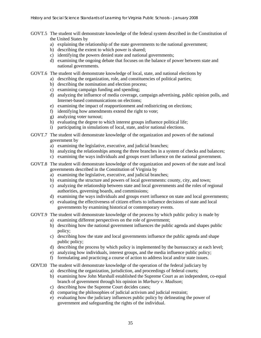- GOVT.5 The student will demonstrate knowledge of the federal system described in the Constitution of the United States by
	- a) explaining the relationship of the state governments to the national government;
	- b) describing the extent to which power is shared;
	- c) identifying the powers denied state and national governments;
	- d) examining the ongoing debate that focuses on the balance of power between state and national governments.
- GOVT.6 The student will demonstrate knowledge of local, state, and national elections by
	- a) describing the organization, role, and constituencies of political parties;
	- b) describing the nomination and election process;
	- c) examining campaign funding and spending;
	- d) analyzing the influence of media coverage, campaign advertising, public opinion polls, and Internet-based communications on elections;
	- e) examining the impact of reapportionment and redistricting on elections;
	- f) identifying how amendments extend the right to vote;
	- g) analyzing voter turnout;
	- h) evaluating the degree to which interest groups influence political life;
	- i) participating in simulations of local, state, and/or national elections.
- GOVT.7 The student will demonstrate knowledge of the organization and powers of the national government by
	- a) examining the legislative, executive, and judicial branches;
	- b) analyzing the relationships among the three branches in a system of checks and balances;
	- c) examining the ways individuals and groups exert influence on the national government.
- GOVT.8 The student will demonstrate knowledge of the organization and powers of the state and local governments described in the Constitution of Virginia by
	- a) examining the legislative, executive, and judicial branches;
	- b) examining the structure and powers of local governments: county, city, and town;
	- c) analyzing the relationship between state and local governments and the roles of regional authorities, governing boards, and commissions;
	- d) examining the ways individuals and groups exert influence on state and local governments;
	- e) evaluating the effectiveness of citizen efforts to influence decisions of state and local governments by examining historical or contemporary events.
- GOVT.9 The student will demonstrate knowledge of the process by which public policy is made by
	- a) examining different perspectives on the role of government;
	- b) describing how the national government influences the public agenda and shapes public policy;
	- c) describing how the state and local governments influence the public agenda and shape public policy;
	- d) describing the process by which policy is implemented by the bureaucracy at each level;
	- e) analyzing how individuals, interest groups, and the media influence public policy;
	- f) formulating and practicing a course of action to address local and/or state issues.

GOVT.10 The student will demonstrate knowledge of the operation of the federal judiciary by

- a) describing the organization, jurisdiction, and proceedings of federal courts;
- b) examining how John Marshall established the Supreme Court as an independent, co-equal branch of government through his opinion in *Marbury v. Madison*;
- c) describing how the Supreme Court decides cases;
- d) comparing the philosophies of judicial activism and judicial restraint;
- e) evaluating how the judiciary influences public policy by delineating the power of government and safeguarding the rights of the individual.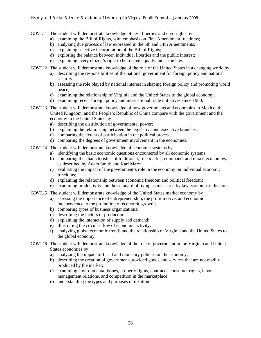- GOVT.11 The student will demonstrate knowledge of civil liberties and civil rights by
	- a) examining the Bill of Rights, with emphasis on First Amendment freedoms;
	- b) analyzing due process of law expressed in the 5th and 14th Amendments;
	- c) explaining selective incorporation of the Bill of Rights;
	- d) exploring the balance between individual liberties and the public interest;
	- e) explaining every citizen's right to be treated equally under the law.
- GOVT.12 The student will demonstrate knowledge of the role of the United States in a changing world by
	- a) describing the responsibilities of the national government for foreign policy and national security;
	- b) assessing the role played by national interest in shaping foreign policy and promoting world peace;
	- c) examining the relationship of Virginia and the United States to the global economy;
	- d) examining recent foreign policy and international trade initiatives since 1980.
- GOVT.13 The student will demonstrate knowledge of how governments and economies in Mexico, the United Kingdom, and the People's Republic of China compare with the government and the economy in the United States by
	- a) describing the distribution of governmental power;
	- b) explaining the relationship between the legislative and executive branches;
	- c) comparing the extent of participation in the political process;
	- d) comparing the degrees of government involvement in the economies.
- GOVT.14 The student will demonstrate knowledge of economic systems by
	- a) identifying the basic economic questions encountered by all economic systems;
	- b) comparing the characteristics of traditional, free market, command, and mixed economies, as described by Adam Smith and Karl Marx;
	- c) evaluating the impact of the government's role in the economy on individual economic freedoms;
	- d) explaining the relationship between economic freedom and political freedom;
	- e) examining productivity and the standard of living as measured by key economic indicators.
- GOVT.15 The student will demonstrate knowledge of the United States market economy by
	- a) assessing the importance of entrepreneurship, the profit motive, and economic independence to the promotion of economic growth;
	- b) comparing types of business organizations;
	- c) describing the factors of production;
	- d) explaining the interaction of supply and demand;
	- e) illustrating the circular flow of economic activity;
	- f) analyzing global economic trends and the relationship of Virginia and the United States to the global economy.
- GOVT.16 The student will demonstrate knowledge of the role of government in the Virginia and United States economies by
	- a) analyzing the impact of fiscal and monetary policies on the economy;
	- b) describing the creation of government-provided goods and services that are not readily produced by the market;
	- c) examining environmental issues, property rights, contracts, consumer rights, labormanagement relations, and competition in the marketplace;
	- d) understanding the types and purposes of taxation.